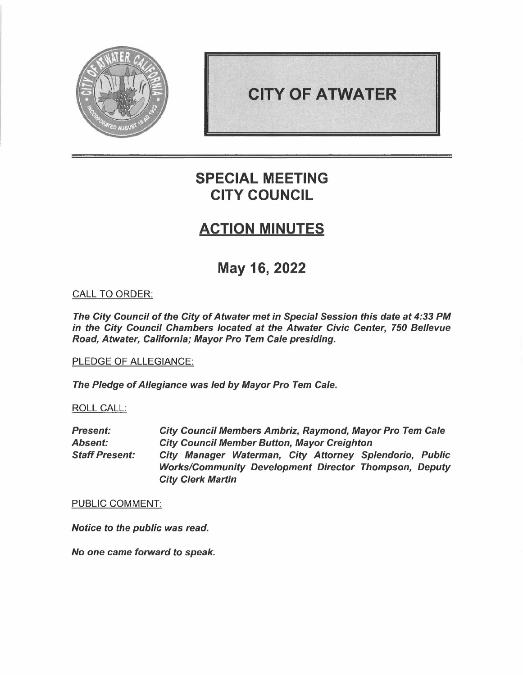

# **CITY OF ATWATER**

# **SPECIAL MEETING CITY COUNCIL**

## **ACTION MINUTES**

# **May 16, 2022**

## CALL TO ORDER:

*The City Council of the City of Atwater met in Special Session this date at 4:33 PM in the City Council Chambers located at the Atwater Civic Center, 750 Bellevue Road, Atwater, California; Mayor Pro* Tem *Cale presiding.* 

## PLEDGE OF ALLEGIANCE:

*The Pledge of Allegiance was led by Mayor Pro* Tem *Cale.* 

### ROLL CALL:

*Present: Absent: Staff Present: City Council Members Ambriz, Raymond, Mayor Pro Tem Cale City Council Member Button, Mayor Creighton City Manager Waterman, City Attorney Splendorio, Public Works/Community Development Director Thompson, Deputy City Clerk Martin* 

#### PUBLIC COMMENT:

*Notice to the public was read.* 

*No one came forward to speak.*